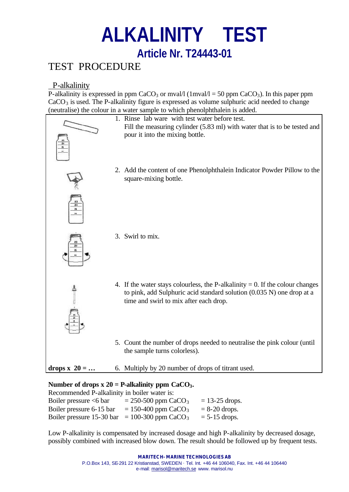# **ALKALINITY TEST Article Nr. T24443-01**

## TEST PROCEDURE

### P-alkalinity

P-alkalinity is expressed in ppm CaCO<sub>3</sub> or mval/l (1mval/l = 50 ppm CaCO<sub>3</sub>). In this paper ppm  $CaCO<sub>3</sub>$  is used. The P-alkalinity figure is expressed as volume sulphuric acid needed to change (neutralise) the colour in a water sample to which phenolphthalein is added.



#### Number of drops  $x 20 = P$ -alkalinity ppm  $CaCO<sub>3</sub>$ .

Recommended P-alkalinity in boiler water is: Boiler pressure  $\leq 6$  bar = 250-500 ppm CaCO<sub>3</sub> = 13-25 drops. Boiler pressure 6-15 bar = 150-400 ppm CaCO<sub>3</sub> = 8-20 drops. Boiler pressure 15-30 bar = 100-300 ppm CaCO<sub>3</sub> = 5-15 drops.

Low P-alkalinity is compensated by increased dosage and high P-alkalinity by decreased dosage, possibly combined with increased blow down. The result should be followed up by frequent tests.